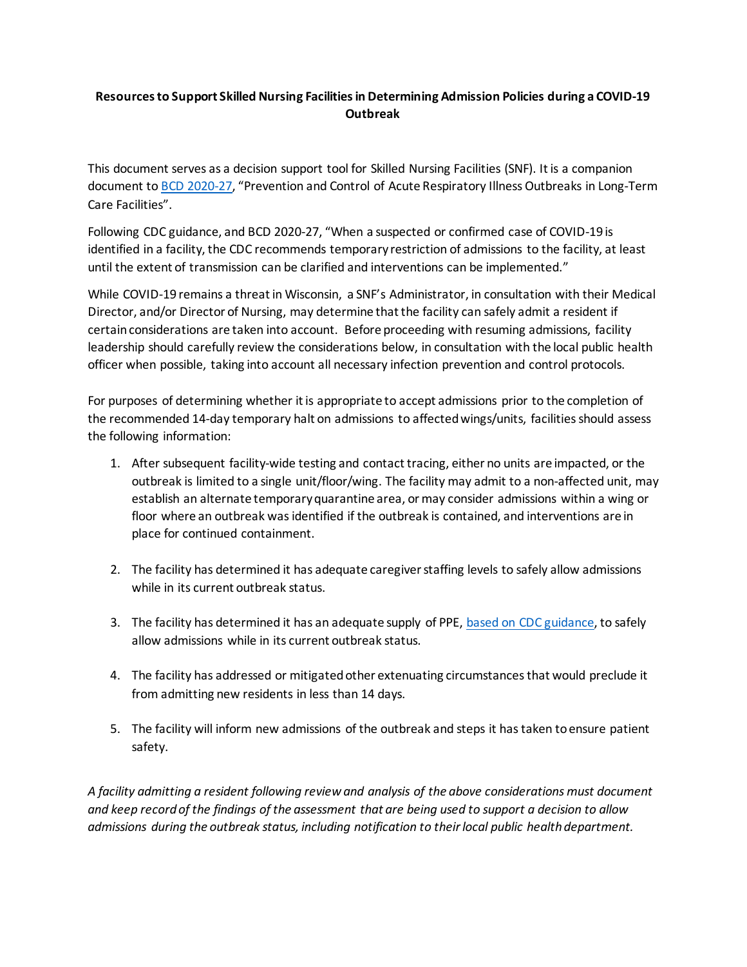## **Resources to Support Skilled Nursing Facilities in Determining Admission Policies during a COVID-19 Outbreak**

This document serves as a decision support tool for Skilled Nursing Facilities (SNF). It is a companion document to [BCD 2020-27,](https://www.dhs.wisconsin.gov/dph/memos/communicable-diseases/2020-27.pdf) "Prevention and Control of Acute Respiratory Illness Outbreaks in Long-Term Care Facilities".

Following CDC guidance, and BCD 2020-27, "When a suspected or confirmed case of COVID-19 is identified in a facility, the CDC recommends temporary restriction of admissions to the facility, at least until the extent of transmission can be clarified and interventions can be implemented."

While COVID-19 remains a threat in Wisconsin, a SNF's Administrator, in consultation with their Medical Director, and/or Director of Nursing, may determine that the facility can safely admit a resident if certain considerations are taken into account. Before proceeding with resuming admissions, facility leadership should carefully review the considerations below, in consultation with the local public health officer when possible, taking into account all necessary infection prevention and control protocols.

For purposes of determining whether it is appropriate to accept admissions prior to the completion of the recommended 14-day temporary halt on admissions to affected wings/units, facilities should assess the following information:

- 1. After subsequent facility-wide testing and contact tracing, either no units are impacted, or the outbreak is limited to a single unit/floor/wing. The facility may admit to a non-affected unit, may establish an alternate temporary quarantine area, or may consider admissions within a wing or floor where an outbreak was identified if the outbreak is contained, and interventions are in place for continued containment.
- 2. The facility has determined it has adequate caregiver staffing levels to safely allow admissions while in its current outbreak status.
- 3. The facility has determined it has an adequate supply of PPE, [based on CDC guidance,](https://www.cdc.gov/coronavirus/2019-ncov/hcp/long-term-care.html) to safely allow admissions while in its current outbreak status.
- 4. The facility has addressed or mitigated other extenuating circumstances that would preclude it from admitting new residents in less than 14 days.
- 5. The facility will inform new admissions of the outbreak and steps it has taken to ensure patient safety.

*A facility admitting a resident following review and analysis of the above considerations must document and keep record of the findings of the assessment that are being used to support a decision to allow admissions during the outbreak status, including notification to their local public health department.*